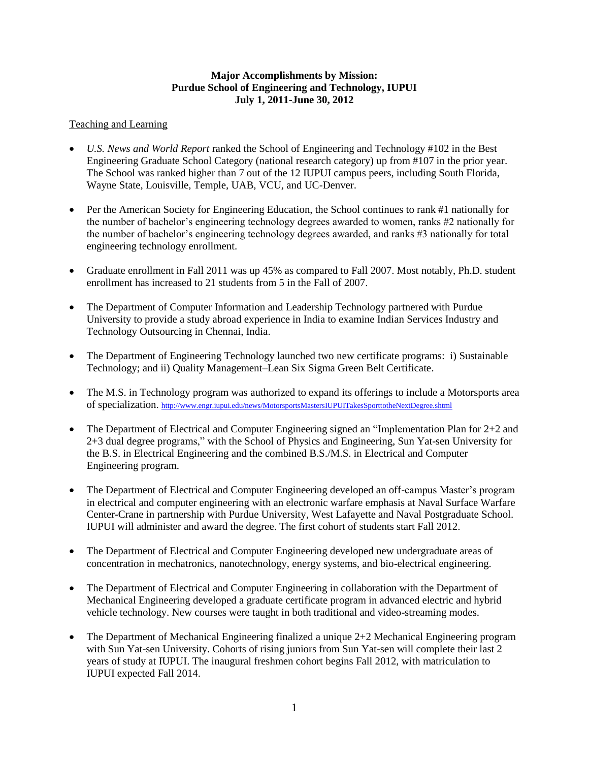### **Major Accomplishments by Mission: Purdue School of Engineering and Technology, IUPUI July 1, 2011-June 30, 2012**

# Teaching and Learning

- *U.S. News and World Report* ranked the School of Engineering and Technology #102 in the Best Engineering Graduate School Category (national research category) up from #107 in the prior year. The School was ranked higher than 7 out of the 12 IUPUI campus peers, including South Florida, Wayne State, Louisville, Temple, UAB, VCU, and UC-Denver.
- Per the American Society for Engineering Education, the School continues to rank #1 nationally for the number of bachelor's engineering technology degrees awarded to women, ranks #2 nationally for the number of bachelor's engineering technology degrees awarded, and ranks #3 nationally for total engineering technology enrollment.
- Graduate enrollment in Fall 2011 was up 45% as compared to Fall 2007. Most notably, Ph.D. student enrollment has increased to 21 students from 5 in the Fall of 2007.
- The Department of Computer Information and Leadership Technology partnered with Purdue University to provide a study abroad experience in India to examine Indian Services Industry and Technology Outsourcing in Chennai, India.
- The Department of Engineering Technology launched two new certificate programs: i) Sustainable Technology; and ii) Quality Management–Lean Six Sigma Green Belt Certificate.
- The M.S. in Technology program was authorized to expand its offerings to include a Motorsports area of specialization. <http://www.engr.iupui.edu/news/MotorsportsMastersIUPUITakesSporttotheNextDegree.shtml>
- The Department of Electrical and Computer Engineering signed an "Implementation Plan for 2+2 and 2+3 dual degree programs," with the School of Physics and Engineering, Sun Yat-sen University for the B.S. in Electrical Engineering and the combined B.S./M.S. in Electrical and Computer Engineering program.
- The Department of Electrical and Computer Engineering developed an off-campus Master's program in electrical and computer engineering with an electronic warfare emphasis at Naval Surface Warfare Center-Crane in partnership with Purdue University, West Lafayette and Naval Postgraduate School. IUPUI will administer and award the degree. The first cohort of students start Fall 2012.
- The Department of Electrical and Computer Engineering developed new undergraduate areas of concentration in mechatronics, nanotechnology, energy systems, and bio-electrical engineering.
- The Department of Electrical and Computer Engineering in collaboration with the Department of Mechanical Engineering developed a graduate certificate program in advanced electric and hybrid vehicle technology. New courses were taught in both traditional and video-streaming modes.
- The Department of Mechanical Engineering finalized a unique 2+2 Mechanical Engineering program with Sun Yat-sen University. Cohorts of rising juniors from Sun Yat-sen will complete their last 2 years of study at IUPUI. The inaugural freshmen cohort begins Fall 2012, with matriculation to IUPUI expected Fall 2014.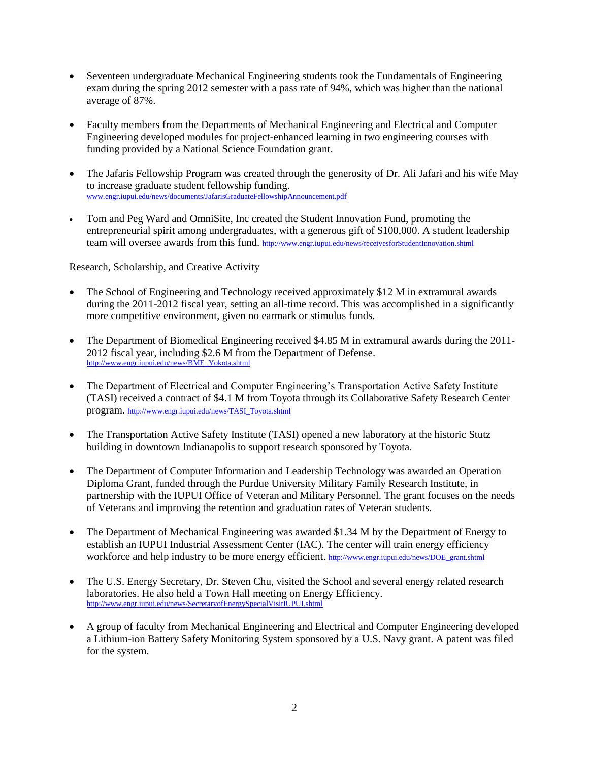- Seventeen undergraduate Mechanical Engineering students took the Fundamentals of Engineering exam during the spring 2012 semester with a pass rate of 94%, which was higher than the national average of 87%.
- Faculty members from the Departments of Mechanical Engineering and Electrical and Computer Engineering developed modules for project-enhanced learning in two engineering courses with funding provided by a National Science Foundation grant.
- The Jafaris Fellowship Program was created through the generosity of Dr. Ali Jafari and his wife May to increase graduate student fellowship funding. [www.engr.iupui.edu/news/documents/JafarisGraduateFellowshipAnnouncement.pdf](http://www.engr.iupui.edu/news/documents/JafarisGraduateFellowshipAnnouncement.pdf)
- Tom and Peg Ward and OmniSite, Inc created the Student Innovation Fund, promoting the entrepreneurial spirit among undergraduates, with a generous gift of \$100,000. A student leadership team will oversee awards from this fund. <http://www.engr.iupui.edu/news/receivesforStudentInnovation.shtml>

# Research, Scholarship, and Creative Activity

- The School of Engineering and Technology received approximately \$12 M in extramural awards during the 2011-2012 fiscal year, setting an all-time record. This was accomplished in a significantly more competitive environment, given no earmark or stimulus funds.
- The Department of Biomedical Engineering received \$4.85 M in extramural awards during the 2011-2012 fiscal year, including \$2.6 M from the Department of Defense. [http://www.engr.iupui.edu/news/BME\\_Yokota.shtml](http://www.engr.iupui.edu/news/BME_Yokota.shtml)
- The Department of Electrical and Computer Engineering's Transportation Active Safety Institute (TASI) received a contract of \$4.1 M from Toyota through its Collaborative Safety Research Center program. [http://www.engr.iupui.edu/news/TASI\\_Toyota.shtml](http://www.engr.iupui.edu/news/TASI_Toyota.shtml)
- The Transportation Active Safety Institute (TASI) opened a new laboratory at the historic Stutz building in downtown Indianapolis to support research sponsored by Toyota.
- The Department of Computer Information and Leadership Technology was awarded an Operation Diploma Grant, funded through the Purdue University Military Family Research Institute, in partnership with the IUPUI Office of Veteran and Military Personnel. The grant focuses on the needs of Veterans and improving the retention and graduation rates of Veteran students.
- The Department of Mechanical Engineering was awarded \$1.34 M by the Department of Energy to establish an IUPUI Industrial Assessment Center (IAC). The center will train energy efficiency workforce and help industry to be more energy efficient. http://www.engr.jupui.edu/news/DOE\_grant.shtml
- The U.S. Energy Secretary, Dr. Steven Chu, visited the School and several energy related research laboratories. He also held a Town Hall meeting on Energy Efficiency. <http://www.engr.iupui.edu/news/SecretaryofEnergySpecialVisitIUPUI.shtml>
- A group of faculty from Mechanical Engineering and Electrical and Computer Engineering developed a Lithium-ion Battery Safety Monitoring System sponsored by a U.S. Navy grant. A patent was filed for the system.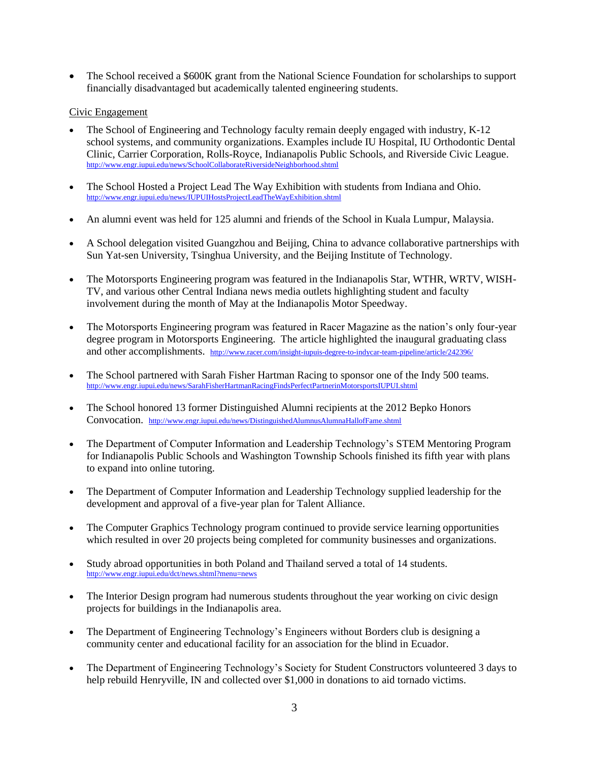The School received a \$600K grant from the National Science Foundation for scholarships to support financially disadvantaged but academically talented engineering students.

# Civic Engagement

- The School of Engineering and Technology faculty remain deeply engaged with industry, K-12 school systems, and community organizations. Examples include IU Hospital, IU Orthodontic Dental Clinic, Carrier Corporation, Rolls-Royce, Indianapolis Public Schools, and Riverside Civic League. <http://www.engr.iupui.edu/news/SchoolCollaborateRiversideNeighborhood.shtml>
- The School Hosted a Project Lead The Way Exhibition with students from Indiana and Ohio. <http://www.engr.iupui.edu/news/IUPUIHostsProjectLeadTheWayExhibition.shtml>
- An alumni event was held for 125 alumni and friends of the School in Kuala Lumpur, Malaysia.
- A School delegation visited Guangzhou and Beijing, China to advance collaborative partnerships with Sun Yat-sen University, Tsinghua University, and the Beijing Institute of Technology.
- The Motorsports Engineering program was featured in the Indianapolis Star, WTHR, WRTV, WISH-TV, and various other Central Indiana news media outlets highlighting student and faculty involvement during the month of May at the Indianapolis Motor Speedway.
- The Motorsports Engineering program was featured in Racer Magazine as the nation's only four-year degree program in Motorsports Engineering. The article highlighted the inaugural graduating class and other accomplishments. <http://www.racer.com/insight-iupuis-degree-to-indycar-team-pipeline/article/242396/>
- The School partnered with Sarah Fisher Hartman Racing to sponsor one of the Indy 500 teams. <http://www.engr.iupui.edu/news/SarahFisherHartmanRacingFindsPerfectPartnerinMotorsportsIUPUI.shtml>
- The School honored 13 former Distinguished Alumni recipients at the 2012 Bepko Honors Convocation. <http://www.engr.iupui.edu/news/DistinguishedAlumnusAlumnaHallofFame.shtml>
- The Department of Computer Information and Leadership Technology's STEM Mentoring Program for Indianapolis Public Schools and Washington Township Schools finished its fifth year with plans to expand into online tutoring.
- The Department of Computer Information and Leadership Technology supplied leadership for the development and approval of a five-year plan for Talent Alliance.
- The Computer Graphics Technology program continued to provide service learning opportunities which resulted in over 20 projects being completed for community businesses and organizations.
- Study abroad opportunities in both Poland and Thailand served a total of 14 students. <http://www.engr.iupui.edu/dct/news.shtml?menu=news>
- The Interior Design program had numerous students throughout the year working on civic design projects for buildings in the Indianapolis area.
- The Department of Engineering Technology's Engineers without Borders club is designing a community center and educational facility for an association for the blind in Ecuador.
- The Department of Engineering Technology's Society for Student Constructors volunteered 3 days to help rebuild Henryville, IN and collected over \$1,000 in donations to aid tornado victims.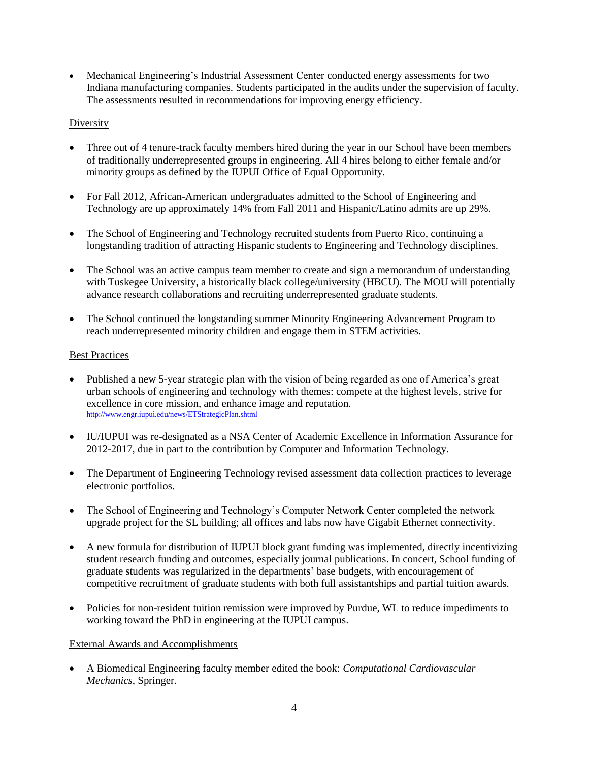Mechanical Engineering's Industrial Assessment Center conducted energy assessments for two Indiana manufacturing companies. Students participated in the audits under the supervision of faculty. The assessments resulted in recommendations for improving energy efficiency.

# **Diversity**

- Three out of 4 tenure-track faculty members hired during the year in our School have been members of traditionally underrepresented groups in engineering. All 4 hires belong to either female and/or minority groups as defined by the IUPUI Office of Equal Opportunity.
- For Fall 2012, African-American undergraduates admitted to the School of Engineering and Technology are up approximately 14% from Fall 2011 and Hispanic/Latino admits are up 29%.
- The School of Engineering and Technology recruited students from Puerto Rico, continuing a longstanding tradition of attracting Hispanic students to Engineering and Technology disciplines.
- The School was an active campus team member to create and sign a memorandum of understanding with Tuskegee University, a historically black college/university (HBCU). The MOU will potentially advance research collaborations and recruiting underrepresented graduate students.
- The School continued the longstanding summer Minority Engineering Advancement Program to reach underrepresented minority children and engage them in STEM activities.

# Best Practices

- Published a new 5-year strategic plan with the vision of being regarded as one of America's great urban schools of engineering and technology with themes: compete at the highest levels, strive for excellence in core mission, and enhance image and reputation. <http://www.engr.iupui.edu/news/ETStrategicPlan.shtml>
- IU/IUPUI was re-designated as a NSA Center of Academic Excellence in Information Assurance for 2012-2017, due in part to the contribution by Computer and Information Technology.
- The Department of Engineering Technology revised assessment data collection practices to leverage electronic portfolios.
- The School of Engineering and Technology's Computer Network Center completed the network upgrade project for the SL building; all offices and labs now have Gigabit Ethernet connectivity.
- A new formula for distribution of IUPUI block grant funding was implemented, directly incentivizing student research funding and outcomes, especially journal publications. In concert, School funding of graduate students was regularized in the departments' base budgets, with encouragement of competitive recruitment of graduate students with both full assistantships and partial tuition awards.
- Policies for non-resident tuition remission were improved by Purdue, WL to reduce impediments to working toward the PhD in engineering at the IUPUI campus.

### External Awards and Accomplishments

 A Biomedical Engineering faculty member edited the book: *Computational Cardiovascular Mechanics*, Springer.